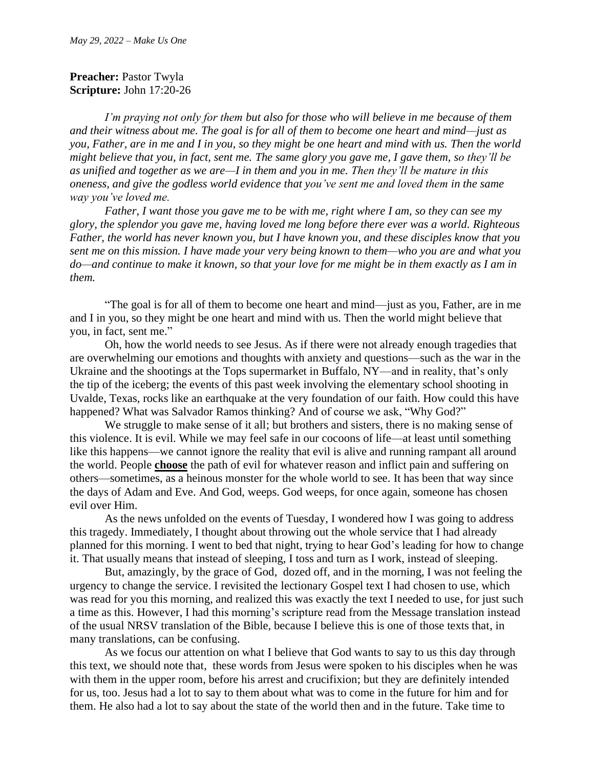## **Preacher: Pastor Twyla Scripture:** John 17:20-26

*I'm praying not only for them but also for those who will believe in me because of them and their witness about me. The goal is for all of them to become one heart and mind—just as you, Father, are in me and I in you, so they might be one heart and mind with us. Then the world might believe that you, in fact, sent me. The same glory you gave me, I gave them, so they'll be as unified and together as we are—I in them and you in me. Then they'll be mature in this oneness, and give the godless world evidence that you've sent me and loved them in the same way you've loved me.*

*Father, I want those you gave me to be with me, right where I am, so they can see my glory, the splendor you gave me, having loved me long before there ever was a world. Righteous Father, the world has never known you, but I have known you, and these disciples know that you sent me on this mission. I have made your very being known to them—who you are and what you do—and continue to make it known, so that your love for me might be in them exactly as I am in them.*

"The goal is for all of them to become one heart and mind—just as you, Father, are in me and I in you, so they might be one heart and mind with us. Then the world might believe that you, in fact, sent me."

Oh, how the world needs to see Jesus. As if there were not already enough tragedies that are overwhelming our emotions and thoughts with anxiety and questions—such as the war in the Ukraine and the shootings at the Tops supermarket in Buffalo, NY—and in reality, that's only the tip of the iceberg; the events of this past week involving the elementary school shooting in Uvalde, Texas, rocks like an earthquake at the very foundation of our faith. How could this have happened? What was Salvador Ramos thinking? And of course we ask, "Why God?"

We struggle to make sense of it all; but brothers and sisters, there is no making sense of this violence. It is evil. While we may feel safe in our cocoons of life—at least until something like this happens—we cannot ignore the reality that evil is alive and running rampant all around the world. People **choose** the path of evil for whatever reason and inflict pain and suffering on others—sometimes, as a heinous monster for the whole world to see. It has been that way since the days of Adam and Eve. And God, weeps. God weeps, for once again, someone has chosen evil over Him.

As the news unfolded on the events of Tuesday, I wondered how I was going to address this tragedy. Immediately, I thought about throwing out the whole service that I had already planned for this morning. I went to bed that night, trying to hear God's leading for how to change it. That usually means that instead of sleeping, I toss and turn as I work, instead of sleeping.

But, amazingly, by the grace of God, dozed off, and in the morning, I was not feeling the urgency to change the service. I revisited the lectionary Gospel text I had chosen to use, which was read for you this morning, and realized this was exactly the text I needed to use, for just such a time as this. However, I had this morning's scripture read from the Message translation instead of the usual NRSV translation of the Bible, because I believe this is one of those texts that, in many translations, can be confusing.

As we focus our attention on what I believe that God wants to say to us this day through this text, we should note that, these words from Jesus were spoken to his disciples when he was with them in the upper room, before his arrest and crucifixion; but they are definitely intended for us, too. Jesus had a lot to say to them about what was to come in the future for him and for them. He also had a lot to say about the state of the world then and in the future. Take time to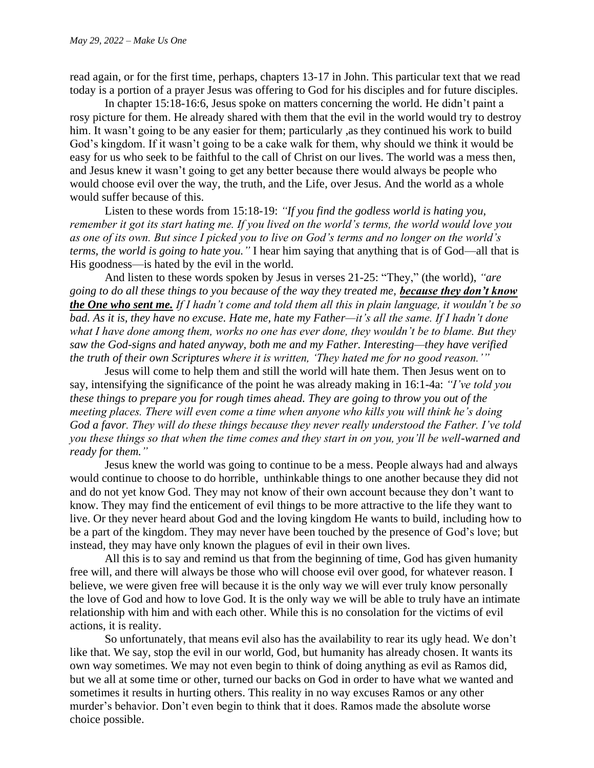read again, or for the first time, perhaps, chapters 13-17 in John. This particular text that we read today is a portion of a prayer Jesus was offering to God for his disciples and for future disciples.

In chapter 15:18-16:6, Jesus spoke on matters concerning the world. He didn't paint a rosy picture for them. He already shared with them that the evil in the world would try to destroy him. It wasn't going to be any easier for them; particularly , as they continued his work to build God's kingdom. If it wasn't going to be a cake walk for them, why should we think it would be easy for us who seek to be faithful to the call of Christ on our lives. The world was a mess then, and Jesus knew it wasn't going to get any better because there would always be people who would choose evil over the way, the truth, and the Life, over Jesus. And the world as a whole would suffer because of this.

Listen to these words from 15:18-19: *"If you find the godless world is hating you, remember it got its start hating me. If you lived on the world's terms, the world would love you as one of its own. But since I picked you to live on God's terms and no longer on the world's terms, the world is going to hate you."* I hear him saying that anything that is of God—all that is His goodness—is hated by the evil in the world.

And listen to these words spoken by Jesus in verses 21-25: "They," (the world), *"are going to do all these things to you because of the way they treated me, because they don't know the One who sent me. If I hadn't come and told them all this in plain language, it wouldn't be so bad. As it is, they have no excuse. Hate me, hate my Father—it's all the same. If I hadn't done what I have done among them, works no one has ever done, they wouldn't be to blame. But they saw the God-signs and hated anyway, both me and my Father. Interesting—they have verified the truth of their own Scriptures where it is written, 'They hated me for no good reason.'"*

Jesus will come to help them and still the world will hate them. Then Jesus went on to say, intensifying the significance of the point he was already making in 16:1-4a: *"I've told you these things to prepare you for rough times ahead. They are going to throw you out of the meeting places. There will even come a time when anyone who kills you will think he's doing God a favor. They will do these things because they never really understood the Father. I've told you these things so that when the time comes and they start in on you, you'll be well-warned and ready for them."*

Jesus knew the world was going to continue to be a mess. People always had and always would continue to choose to do horrible, unthinkable things to one another because they did not and do not yet know God. They may not know of their own account because they don't want to know. They may find the enticement of evil things to be more attractive to the life they want to live. Or they never heard about God and the loving kingdom He wants to build, including how to be a part of the kingdom. They may never have been touched by the presence of God's love; but instead, they may have only known the plagues of evil in their own lives.

All this is to say and remind us that from the beginning of time, God has given humanity free will, and there will always be those who will choose evil over good, for whatever reason. I believe, we were given free will because it is the only way we will ever truly know personally the love of God and how to love God. It is the only way we will be able to truly have an intimate relationship with him and with each other. While this is no consolation for the victims of evil actions, it is reality.

So unfortunately, that means evil also has the availability to rear its ugly head. We don't like that. We say, stop the evil in our world, God, but humanity has already chosen. It wants its own way sometimes. We may not even begin to think of doing anything as evil as Ramos did, but we all at some time or other, turned our backs on God in order to have what we wanted and sometimes it results in hurting others. This reality in no way excuses Ramos or any other murder's behavior. Don't even begin to think that it does. Ramos made the absolute worse choice possible.